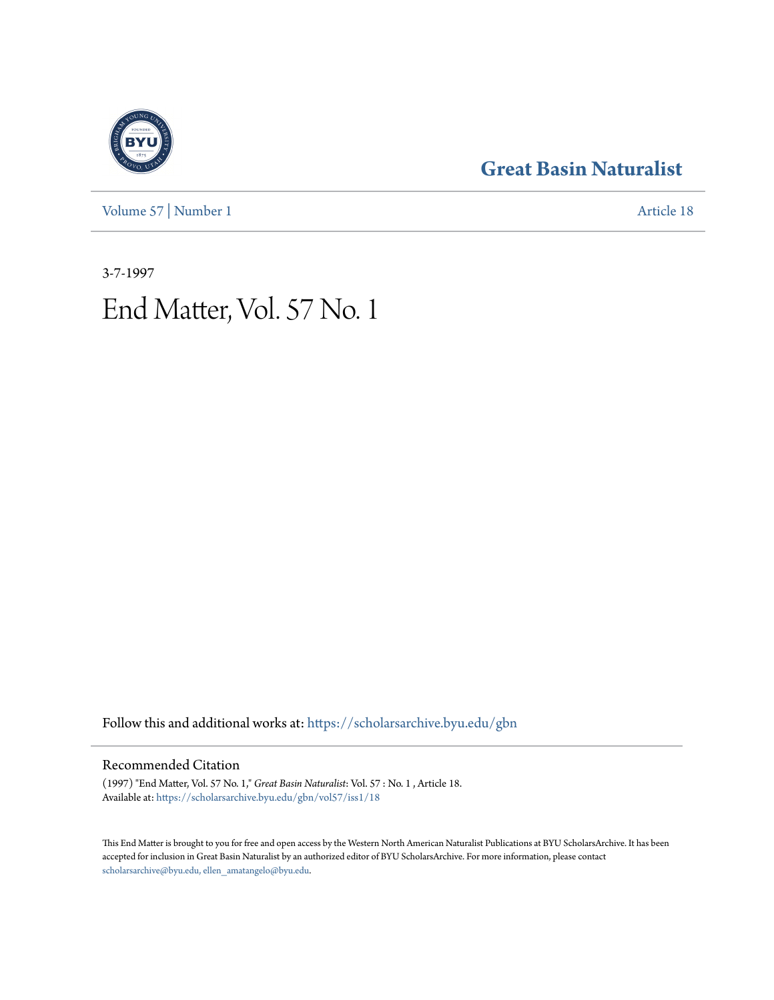[Volume 57](https://scholarsarchive.byu.edu/gbn/vol57?utm_source=scholarsarchive.byu.edu%2Fgbn%2Fvol57%2Fiss1%2F18&utm_medium=PDF&utm_campaign=PDFCoverPages) | [Number 1](https://scholarsarchive.byu.edu/gbn/vol57/iss1?utm_source=scholarsarchive.byu.edu%2Fgbn%2Fvol57%2Fiss1%2F18&utm_medium=PDF&utm_campaign=PDFCoverPages) [Article 18](https://scholarsarchive.byu.edu/gbn/vol57/iss1/18?utm_source=scholarsarchive.byu.edu%2Fgbn%2Fvol57%2Fiss1%2F18&utm_medium=PDF&utm_campaign=PDFCoverPages)

# **[Great Basin Naturalist](https://scholarsarchive.byu.edu/gbn?utm_source=scholarsarchive.byu.edu%2Fgbn%2Fvol57%2Fiss1%2F18&utm_medium=PDF&utm_campaign=PDFCoverPages)**

3-7-1997

# End Matter, Vol. 57 No. 1

Follow this and additional works at: [https://scholarsarchive.byu.edu/gbn](https://scholarsarchive.byu.edu/gbn?utm_source=scholarsarchive.byu.edu%2Fgbn%2Fvol57%2Fiss1%2F18&utm_medium=PDF&utm_campaign=PDFCoverPages)

#### Recommended Citation

(1997) "End Matter, Vol. 57 No. 1," *Great Basin Naturalist*: Vol. 57 : No. 1 , Article 18. Available at: [https://scholarsarchive.byu.edu/gbn/vol57/iss1/18](https://scholarsarchive.byu.edu/gbn/vol57/iss1/18?utm_source=scholarsarchive.byu.edu%2Fgbn%2Fvol57%2Fiss1%2F18&utm_medium=PDF&utm_campaign=PDFCoverPages)

This End Matter is brought to you for free and open access by the Western North American Naturalist Publications at BYU ScholarsArchive. It has been accepted for inclusion in Great Basin Naturalist by an authorized editor of BYU ScholarsArchive. For more information, please contact [scholarsarchive@byu.edu, ellen\\_amatangelo@byu.edu.](mailto:scholarsarchive@byu.edu,%20ellen_amatangelo@byu.edu)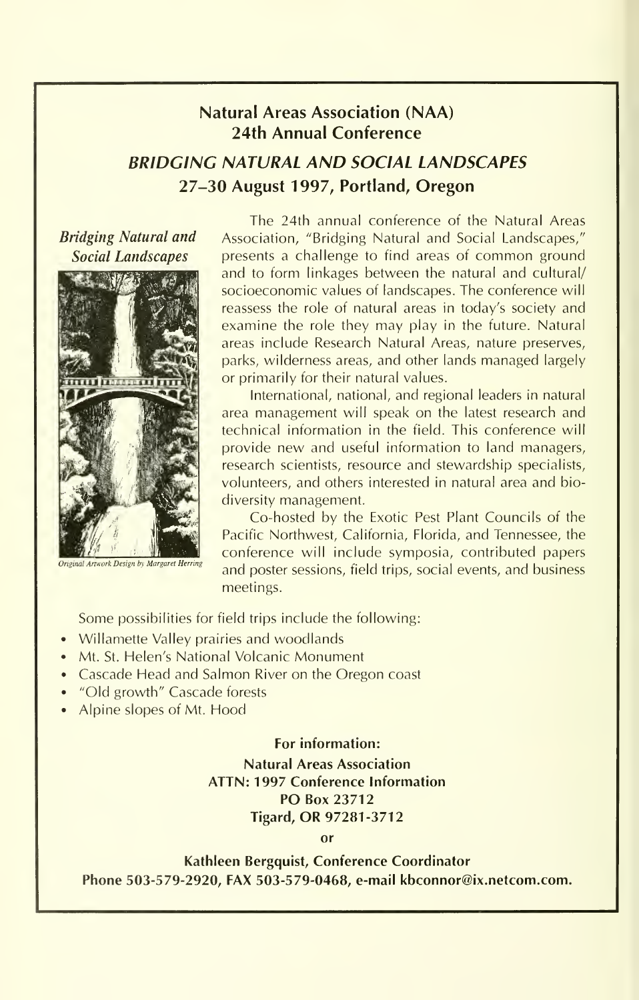### Natural Areas Association (NAA) 24th Annual Conference

## BRIDGING NATURAL AND SOCIAL LANDSCAPES 27-30 August 1997, Portland, Oregon

Bridging Natural and Social Landscapes



**Driginal Artwork Design by Margaret Herring** 

The 24th annual conference of the Natural Areas Association, "Bridging Natural and Social Landscapes," presents <sup>a</sup> challenge to find areas of common ground and to form linkages between the natural and cultural/ socioeconomic values of landscapes. The conference will reassess the role of natural areas in today's society and examine the role they may play in the future. Natural areas include Research Natural Areas, nature preserves, parks, wilderness areas, and other lands managed largely or primarily for their natural values.

International, national, and regional leaders in natural area management will speak on the latest research and technical information in the field. This conference will provide new and useful information to land managers, research scientists, resource and stewardship specialists, volunteers, and others interested in natural area and biodiversity management.

Co-hosted by the Exotic Pest Plant Councils of the Pacific Northwest, California, Florida, and Tennessee, the conference will include symposia, contributed papers and poster sessions, field trips, social events, and business meetings.

Some possibilities for field trips include the following:

- Willamette Valley prairies and woodlands
- Mt. St. Helen's National Volcanic Monument
- Cascade Head and Salmon River on the Oregon coast
- "Old growth" Cascade forests
- Alpine slopes of Mt. Hood

#### For information:

Natural Areas Association ATTN: 1997 Conference Information PO Box 23712 Tigard, OR 97281-3712

or

Kathleen Bergquist, Conference Coordinator Phone 503-579-2920, FAX 503-579-0468, e-mail kbconnor@ix.netcom.com.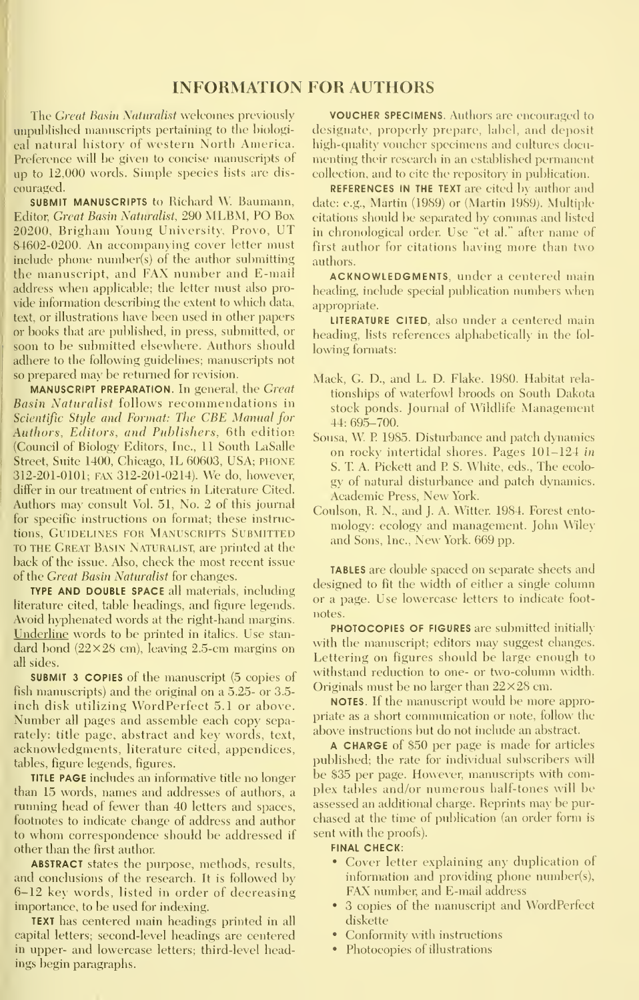#### INFORMATION FOR AUTHORS

The *Great Basin Naturalist* welcomes previously unpublished manuscripts pertaining to the biologi cal natural history of western North America. Preference will be given to concise manuscripts of up to 12,000 words. Simple species lists are dis couraged.

SUBMIT MANUSCRIPTS to Richard W. Baumann, Editor, Great Basin Naturalist, 290 MLBM, PO Box 20200, Brigham Young University, Provo, UT 84602-0200. An accompanying cover letter must include phone number(s) of the author submitting the manuscript, and FAX number and E-mail address when applicable; the letter must also provide infomiation describing the extent to which data, text, or illustrations have been used in other papers or books that are published, in press, submitted, or soon to be submitted elsewhere. Authors should adhere to the following guidelines; manuscripts not so prepared max be retiuned for revision.

MANUSCRIPT PREPARATION. In general, the Great Basin Naturalist follows recommendations in Scientific Style and Format: The CBE Manual for Authors, Editors, and Publishers, 6th edition (Council of Biology Editors, Inc., 11 South LaSalle Street, Suite 1400, Chicago, IL 60603, USA; PHONE 312-201-0101; FAX 312-201-0214). We do, however, differ in our treatment of entries in Literature Cited. Authors may consult Vol. 51, No. 2 of this journal for specific instructions on format; these instructions, GUIDELINES FOR MANUSCRIPTS SUBMITTED TO THE Great Basin Naturalist, are printed at the back of the issue. Also, check the most recent issue of the Great Basin Naturalist for changes.

TYPE AND DOUBLE SPACE all materials, including literature cited, table headings, and figure legends. Avoid hyphenated words at the right-hand margins. Underline words to be printed in italics. Use stan dard bond  $(22\times28$  cm), leaving 2.5-cm margins on all sides.

SUBMIT 3 COPIES of the manuscript (5 copies of fish manuscripts) and the original on a 5.25- or 3.5 inch disk utilizing WordPerfect 5.1 or above. Number all pages and assemble each copy separately: title page, abstract and key words, text, acknowledgments, literature cited, appendices, tables, figure legends, figures.

TITLE PAGE includes an informative title no longer than 15 words, names and addresses of authors, a running head of fewer than 40 letters and spaces, footnotes to indicate change of address and author to whom correspondence should be addressed if other than the first author.

ABSTRACT states the purpose, methods, results, and conclusions of the research. It is followed by 6-12 key words, listed in order of decreasing importance, to be used for indexing.

TEXT has centered main headings printed in all capital letters; second-level headings are centered in upper- and lowercase letters; third-level headings begin paragraphs.

VOUCHER SPECIMENS. Authors are encouraged to designate, properly prepare, label, and deposit high-quality voucher specimens and cultures docu menting their research in an established permanent collection, and to cite the repository in publication.

REFERENCES IN THE TEXT are cited by author and date; e.g., Martin (1989) or (Martin 1989). Multiple citations should be separated by commas and listed in chronological order. Use "et al." after name of first author for citations having more than two authors.

ACKNOWLEDGMENTS, under a centered main heading, include special publication numbers when appropriate.

LITERATURE CITED, also under a centered main heading, lists references alphabetically in the fol lowing formats:

- Mack, G. D., and L. D. Flake. 1980. Habitat rela tionships of waterfowl broods on South Dakota stock ponds. Journal of Wildlife Management 44: 695-700.
- Sousa, W <sup>P</sup> 1985. Disturbance and patch dynamics on rocky intertidal shores. Pages 101-124 in S. T. A. Pickett and P S. White, eds., The ecolo gy of natural disturbance and patch dynamics. Academic Press, New York.
- Coulson, R. N., and J. A. Witter. 1984. Forest entomology: ecology and management. John Wiley and Sons, Inc., New York. 669 pp.

TABLES are double spaced on separate sheets and designed to fit the width of either a single column or a page. Use lowercase letters to indicate foot notes.

PHOTOCOPIES OF FIGURES are submitted initially with the manuscript; editors may suggest changes. Lettering on figures should be large enough to withstand reduction to one- or two-column width. Originals must be no larger than  $22\times28$  cm.

NOTES. If the manuscript would be more appropriate as a short communication or note, follow the above instructions but do not include an abstract.

A CHARGE of \$50 per page is made for articles published; the rate for individual subscribers will be \$35 per page. However, manuscripts with complex tables and/or numerous half-tones will be assessed an additional charge. Reprints may be pur chased at the time of publication (an order form is sent with the proofs).

#### FINAL CHECK:

- Cover letter explaining any duplication of information and providing phone number(s), FAX number, and E-mail address
- 3 copies of the manuscript and WordPerfect diskette
- Conformity with instructions
- Photocopies of illustrations